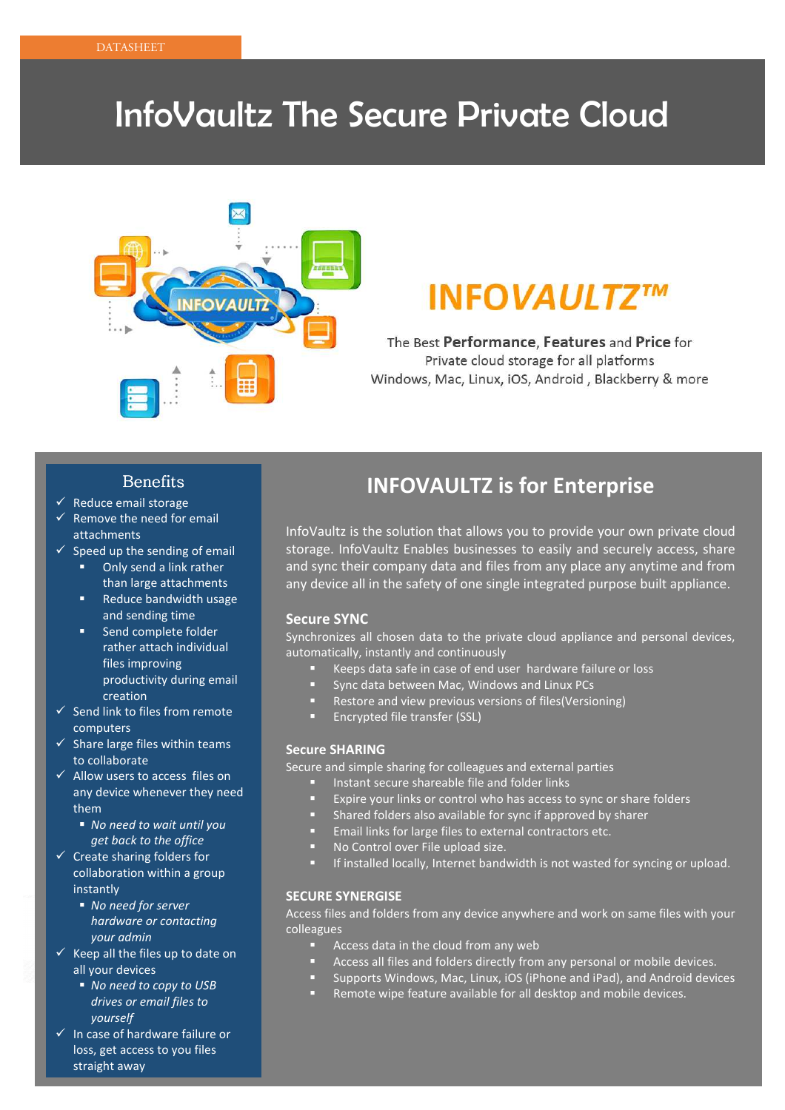## InfoVaultz The Secure Private Cloud



## **INFOVAULTZ™**

The Best Performance, Features and Price for Private cloud storage for all platforms Windows, Mac, Linux, iOS, Android, Blackberry & more

#### **Benefits**

- $\checkmark$  Reduce email storage
- $\checkmark$  Remove the need for email attachments
- $\checkmark$  Speed up the sending of email
	- - Only send a link rather than large attachments
	- - Reduce bandwidth usage and sending time
	- **EXEC** Send complete folder rather attach individual files improving productivity during email creation
- $\checkmark$  Send link to files from remote computers
- $\checkmark$  Share large files within teams to collaborate
- $\checkmark$  Allow users to access files on any device whenever they need them
	- *No need to wait until you get back to the office*
- $\checkmark$  Create sharing folders for collaboration within a group instantly
	- *No need for server hardware or contacting your admin*
- $\checkmark$  Keep all the files up to date on all your devices
	- *No need to copy to USB drives or email files to yourself*
- In case of hardware failure or loss, get access to you files straight away

### **INFOVAULTZ is for Enterprise**

InfoVaultz is the solution that allows you to provide your own private cloud storage. InfoVaultz Enables businesses to easily and securely access, share and sync their company data and files from any place any anytime and from any device all in the safety of one single integrated purpose built appliance.

#### **Secure SYNC**

Synchronizes all chosen data to the private cloud appliance and personal devices, automatically, instantly and continuously

- -Keeps data safe in case of end user hardware failure or loss
- -Sync data between Mac, Windows and Linux PCs
- -Restore and view previous versions of files(Versioning)
- -Encrypted file transfer (SSL)

#### **Secure SHARING**

Secure and simple sharing for colleagues and external parties

- -Instant secure shareable file and folder links
- -Expire your links or control who has access to sync or share folders
- Shared folders also available for sync if approved by sharer
- -Email links for large files to external contractors etc.
- -No Control over File upload size.
- -If installed locally, Internet bandwidth is not wasted for syncing or upload.

#### **SECURE SYNERGISE**

Access files and folders from any device anywhere and work on same files with your colleagues

- -Access data in the cloud from any web
- -Access all files and folders directly from any personal or mobile devices.
- -Supports Windows, Mac, Linux, iOS (iPhone and iPad), and Android devices
- -Remote wipe feature available for all desktop and mobile devices.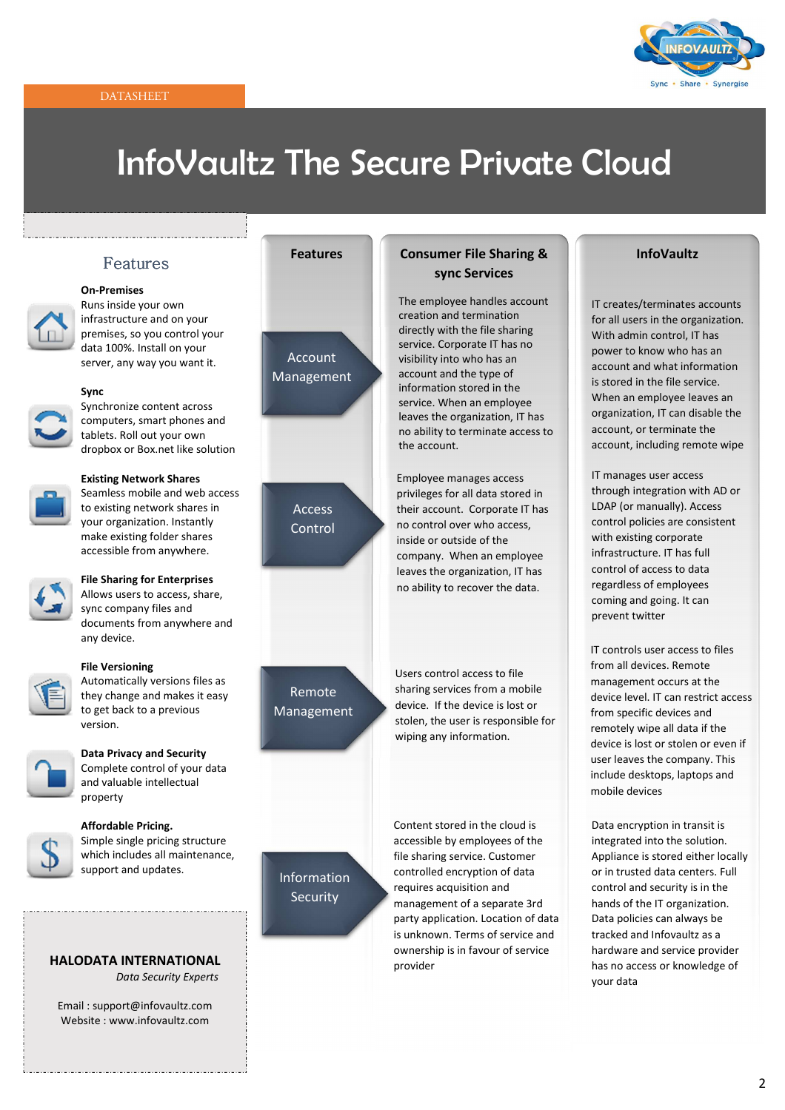#### DATASHEET



## InfoVaultz The Secure Private Cloud

#### Features

ing a state of the state of the state of the state of the state of the state of the state of the state of the



#### **On-Premises**

Runs inside your own infrastructure and on your premises, so you control your data 100%. Install on your server, any way you want it.



#### **Sync**

Synchronize content across computers, smart phones and tablets. Roll out your own dropbox or Box.net like solution

#### **Existing Network Shares**

Seamless mobile and web access to existing network shares in your organization. Instantly make existing folder shares accessible from anywhere.



#### **File Sharing for Enterprises**  Allows users to access, share, sync company files and

documents from anywhere and any device.



#### **File Versioning**

Automatically versions files as they change and makes it easy to get back to a previous version.



#### **Data Privacy and Security**

Complete control of your data and valuable intellectual property



#### **Affordable Pricing.**

Simple single pricing structure which includes all maintenance, support and updates.

#### **HALODATA INTERNATIONAL**   *Data Security Experts*

Email : support@infovaultz.com Website : www.infovaultz.com

:<br>Lista istoria istoria istoria istoria istoria istoria istoria istoria

Account Management

## Access Control

Remote Management

#### Features **Consumer File Sharing & sync Services**

The employee handles account creation and termination directly with the file sharing service. Corporate IT has no visibility into who has an account and the type of information stored in the service. When an employee leaves the organization, IT has no ability to terminate access to the account.

Employee manages access privileges for all data stored in their account. Corporate IT has no control over who access, inside or outside of the company. When an employee leaves the organization, IT has no ability to recover the data.

Users control access to file sharing services from a mobile device. If the device is lost or stolen, the user is responsible for wiping any information.

Content stored in the cloud is accessible by employees of the file sharing service. Customer controlled encryption of data requires acquisition and management of a separate 3rd ownership is in favour of service

#### **InfoVaultz**

IT creates/terminates accounts for all users in the organization. With admin control, IT has power to know who has an account and what information is stored in the file service. When an employee leaves an organization, IT can disable the account, or terminate the account, including remote wipe

IT manages user access through integration with AD or LDAP (or manually). Access control policies are consistent with existing corporate infrastructure. IT has full control of access to data regardless of employees coming and going. It can prevent twitter

IT controls user access to files from all devices. Remote management occurs at the device level. IT can restrict access from specific devices and remotely wipe all data if the device is lost or stolen or even if user leaves the company. This include desktops, laptops and mobile devices

Data encryption in transit is integrated into the solution. Appliance is stored either locally or in trusted data centers. Full control and security is in the hands of the IT organization. Data policies can always be tracked and Infovaultz as a hardware and service provider has no access or knowledge of your data

### Information **Security**

party application. Location of data is unknown. Terms of service and provider

2